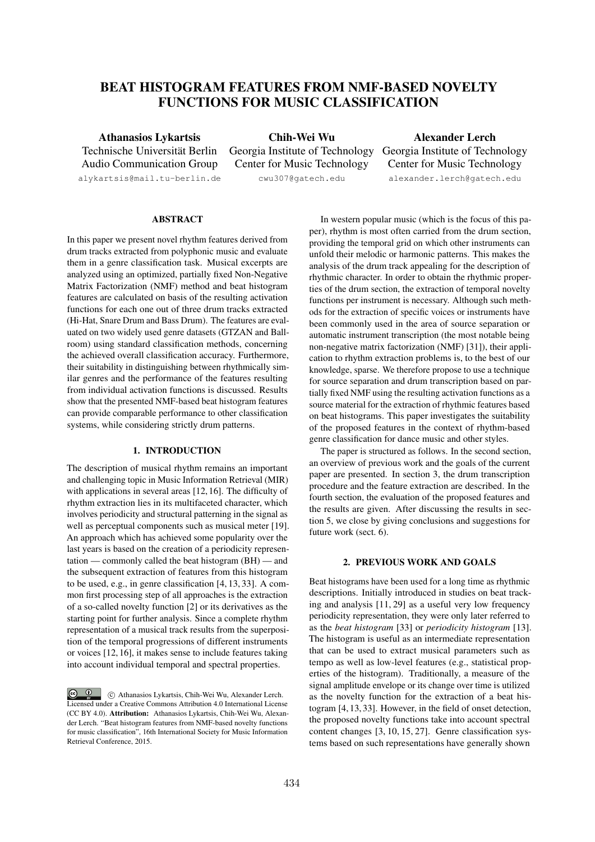# BEAT HISTOGRAM FEATURES FROM NMF-BASED NOVELTY FUNCTIONS FOR MUSIC CLASSIFICATION

Athanasios Lykartsis Technische Universität Berlin Audio Communication Group alykartsis@mail.tu-berlin.de

Chih-Wei Wu Georgia Institute of Technology Georgia Institute of Technology Center for Music Technology cwu307@gatech.edu

Alexander Lerch Center for Music Technology alexander.lerch@gatech.edu

# ABSTRACT

In this paper we present novel rhythm features derived from drum tracks extracted from polyphonic music and evaluate them in a genre classification task. Musical excerpts are analyzed using an optimized, partially fixed Non-Negative Matrix Factorization (NMF) method and beat histogram features are calculated on basis of the resulting activation functions for each one out of three drum tracks extracted (Hi-Hat, Snare Drum and Bass Drum). The features are evaluated on two widely used genre datasets (GTZAN and Ballroom) using standard classification methods, concerning the achieved overall classification accuracy. Furthermore, their suitability in distinguishing between rhythmically similar genres and the performance of the features resulting from individual activation functions is discussed. Results show that the presented NMF-based beat histogram features can provide comparable performance to other classification systems, while considering strictly drum patterns.

# 1. INTRODUCTION

The description of musical rhythm remains an important and challenging topic in Music Information Retrieval (MIR) with applications in several areas [12, 16]. The difficulty of rhythm extraction lies in its multifaceted character, which involves periodicity and structural patterning in the signal as well as perceptual components such as musical meter [19]. An approach which has achieved some popularity over the last years is based on the creation of a periodicity representation — commonly called the beat histogram (BH) — and the subsequent extraction of features from this histogram to be used, e.g., in genre classification [4, 13, 33]. A common first processing step of all approaches is the extraction of a so-called novelty function [2] or its derivatives as the starting point for further analysis. Since a complete rhythm representation of a musical track results from the superposition of the temporal progressions of different instruments or voices [12, 16], it makes sense to include features taking into account individual temporal and spectral properties.

In western popular music (which is the focus of this paper), rhythm is most often carried from the drum section, providing the temporal grid on which other instruments can unfold their melodic or harmonic patterns. This makes the analysis of the drum track appealing for the description of rhythmic character. In order to obtain the rhythmic properties of the drum section, the extraction of temporal novelty functions per instrument is necessary. Although such methods for the extraction of specific voices or instruments have been commonly used in the area of source separation or automatic instrument transcription (the most notable being non-negative matrix factorization (NMF) [31]), their application to rhythm extraction problems is, to the best of our knowledge, sparse. We therefore propose to use a technique for source separation and drum transcription based on partially fixed NMF using the resulting activation functions as a source material for the extraction of rhythmic features based on beat histograms. This paper investigates the suitability of the proposed features in the context of rhythm-based genre classification for dance music and other styles.

The paper is structured as follows. In the second section, an overview of previous work and the goals of the current paper are presented. In section 3, the drum transcription procedure and the feature extraction are described. In the fourth section, the evaluation of the proposed features and the results are given. After discussing the results in section 5, we close by giving conclusions and suggestions for future work (sect. 6).

# 2. PREVIOUS WORK AND GOALS

Beat histograms have been used for a long time as rhythmic descriptions. Initially introduced in studies on beat tracking and analysis [11, 29] as a useful very low frequency periodicity representation, they were only later referred to as the *beat histogram* [33] or *periodicity histogram* [13]. The histogram is useful as an intermediate representation that can be used to extract musical parameters such as tempo as well as low-level features (e.g., statistical properties of the histogram). Traditionally, a measure of the signal amplitude envelope or its change over time is utilized as the novelty function for the extraction of a beat histogram [4, 13, 33]. However, in the field of onset detection, the proposed novelty functions take into account spectral content changes [3, 10, 15, 27]. Genre classification systems based on such representations have generally shown

 $\circledcirc$ c Athanasios Lykartsis, Chih-Wei Wu, Alexander Lerch. Licensed under a Creative Commons Attribution 4.0 International License (CC BY 4.0). Attribution: Athanasios Lykartsis, Chih-Wei Wu, Alexander Lerch. "Beat histogram features from NMF-based novelty functions for music classification", 16th International Society for Music Information Retrieval Conference, 2015.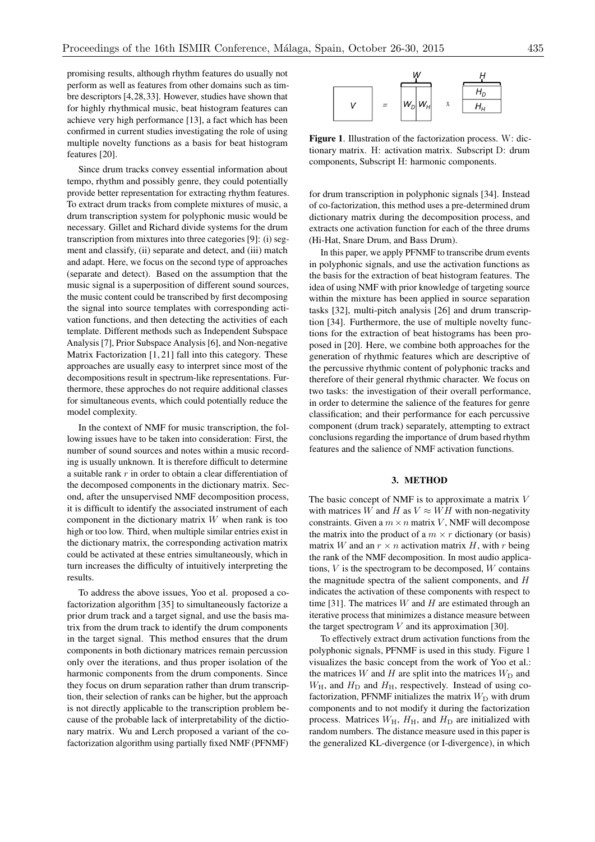promising results, although rhythm features do usually not perform as well as features from other domains such as timbre descriptors [4,28,33]. However, studies have shown that for highly rhythmical music, beat histogram features can achieve very high performance [13], a fact which has been confirmed in current studies investigating the role of using multiple novelty functions as a basis for beat histogram features [20].

Since drum tracks convey essential information about tempo, rhythm and possibly genre, they could potentially provide better representation for extracting rhythm features. To extract drum tracks from complete mixtures of music, a drum transcription system for polyphonic music would be necessary. Gillet and Richard divide systems for the drum transcription from mixtures into three categories [9]: (i) segment and classify, (ii) separate and detect, and (iii) match and adapt. Here, we focus on the second type of approaches (separate and detect). Based on the assumption that the music signal is a superposition of different sound sources, the music content could be transcribed by first decomposing the signal into source templates with corresponding activation functions, and then detecting the activities of each template. Different methods such as Independent Subspace Analysis [7], Prior Subspace Analysis [6], and Non-negative Matrix Factorization [1, 21] fall into this category. These approaches are usually easy to interpret since most of the decompositions result in spectrum-like representations. Furthermore, these approches do not require additional classes for simultaneous events, which could potentially reduce the model complexity.

In the context of NMF for music transcription, the following issues have to be taken into consideration: First, the number of sound sources and notes within a music recording is usually unknown. It is therefore difficult to determine a suitable rank *r* in order to obtain a clear differentiation of the decomposed components in the dictionary matrix. Second, after the unsupervised NMF decomposition process, it is difficult to identify the associated instrument of each component in the dictionary matrix *W* when rank is too high or too low. Third, when multiple similar entries exist in the dictionary matrix, the corresponding activation matrix could be activated at these entries simultaneously, which in turn increases the difficulty of intuitively interpreting the results.

To address the above issues, Yoo et al. proposed a cofactorization algorithm [35] to simultaneously factorize a prior drum track and a target signal, and use the basis matrix from the drum track to identify the drum components in the target signal. This method ensures that the drum components in both dictionary matrices remain percussion only over the iterations, and thus proper isolation of the harmonic components from the drum components. Since they focus on drum separation rather than drum transcription, their selection of ranks can be higher, but the approach is not directly applicable to the transcription problem because of the probable lack of interpretability of the dictionary matrix. Wu and Lerch proposed a variant of the cofactorization algorithm using partially fixed NMF (PFNMF)



Figure 1. Illustration of the factorization process. W: dictionary matrix. H: activation matrix. Subscript D: drum components, Subscript H: harmonic components.

for drum transcription in polyphonic signals [34]. Instead of co-factorization, this method uses a pre-determined drum dictionary matrix during the decomposition process, and extracts one activation function for each of the three drums (Hi-Hat, Snare Drum, and Bass Drum).

In this paper, we apply PFNMF to transcribe drum events in polyphonic signals, and use the activation functions as the basis for the extraction of beat histogram features. The idea of using NMF with prior knowledge of targeting source within the mixture has been applied in source separation tasks [32], multi-pitch analysis [26] and drum transcription [34]. Furthermore, the use of multiple novelty functions for the extraction of beat histograms has been proposed in [20]. Here, we combine both approaches for the generation of rhythmic features which are descriptive of the percussive rhythmic content of polyphonic tracks and therefore of their general rhythmic character. We focus on two tasks: the investigation of their overall performance, in order to determine the salience of the features for genre classification; and their performance for each percussive component (drum track) separately, attempting to extract conclusions regarding the importance of drum based rhythm features and the salience of NMF activation functions.

### 3. METHOD

The basic concept of NMF is to approximate a matrix *V* with matrices *W* and *H* as  $V \approx WH$  with non-negativity constraints. Given a  $m \times n$  matrix *V*, NMF will decompose the matrix into the product of a  $m \times r$  dictionary (or basis) matrix *W* and an  $r \times n$  activation matrix *H*, with *r* being the rank of the NMF decomposition. In most audio applications, *V* is the spectrogram to be decomposed, *W* contains the magnitude spectra of the salient components, and *H* indicates the activation of these components with respect to time [31]. The matrices *W* and *H* are estimated through an iterative process that minimizes a distance measure between the target spectrogram *V* and its approximation [30].

To effectively extract drum activation functions from the polyphonic signals, PFNMF is used in this study. Figure 1 visualizes the basic concept from the work of Yoo et al.: the matrices  $W$  and  $H$  are split into the matrices  $W_D$  and  $W_H$ , and  $H_D$  and  $H_H$ , respectively. Instead of using cofactorization, PFNMF initializes the matrix  $W_D$  with drum components and to not modify it during the factorization process. Matrices  $W_H$ ,  $H_H$ , and  $H_D$  are initialized with random numbers. The distance measure used in this paper is the generalized KL-divergence (or I-divergence), in which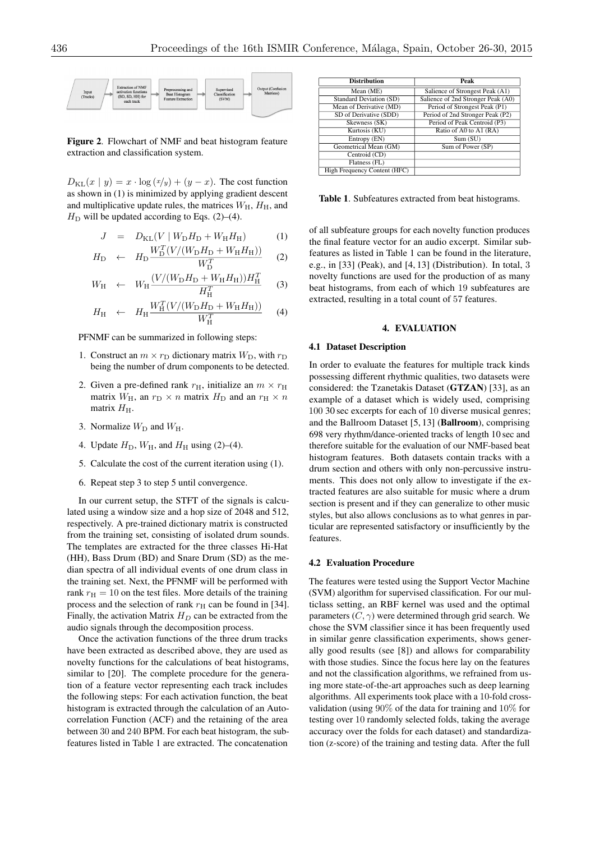

Figure 2. Flowchart of NMF and beat histogram feature extraction and classification system.

 $D_{\text{KL}}(x \mid y) = x \cdot \log(x/y) + (y - x)$ . The cost function as shown in (1) is minimized by applying gradient descent and multiplicative update rules, the matrices  $W_H$ ,  $H_H$ , and  $H<sub>D</sub>$  will be updated according to Eqs. (2)–(4).

$$
J = D_{KL}(V | W_{D}H_{D} + W_{H}H_{H})
$$
 (1)

$$
H_{\rm D} \leftarrow H_{\rm D} \frac{W_{\rm D}^T (V/(W_{\rm D} H_{\rm D} + W_{\rm H} H_{\rm H}))}{W_{\rm D}^T} \tag{2}
$$

$$
W_{\rm H} \leftarrow W_{\rm H} \frac{(V/(W_{\rm D}H_{\rm D} + W_{\rm H}H_{\rm H}))H_{\rm H}^T}{H_{\rm H}^T} \tag{3}
$$

$$
H_{\rm H} \quad \leftarrow \quad H_{\rm H} \frac{W_{\rm H}^T (V/(W_{\rm D} H_{\rm D} + W_{\rm H} H_{\rm H}))}{W_{\rm H}^T} \tag{4}
$$

PFNMF can be summarized in following steps:

- 1. Construct an  $m \times r_D$  dictionary matrix  $W_D$ , with  $r_D$ being the number of drum components to be detected.
- 2. Given a pre-defined rank  $r_{\text{H}}$ , initialize an  $m \times r_{\text{H}}$ matrix  $W_H$ , an  $r_D \times n$  matrix  $H_D$  and an  $r_H \times n$ matrix  $H_{\rm H}$ .
- 3. Normalize  $W_D$  and  $W_H$ .
- 4. Update  $H_D$ ,  $W_H$ , and  $H_H$  using (2)–(4).
- 5. Calculate the cost of the current iteration using (1).
- 6. Repeat step 3 to step 5 until convergence.

In our current setup, the STFT of the signals is calculated using a window size and a hop size of 2048 and 512, respectively. A pre-trained dictionary matrix is constructed from the training set, consisting of isolated drum sounds. The templates are extracted for the three classes Hi-Hat (HH), Bass Drum (BD) and Snare Drum (SD) as the median spectra of all individual events of one drum class in the training set. Next, the PFNMF will be performed with rank  $r<sub>H</sub> = 10$  on the test files. More details of the training process and the selection of rank  $r<sub>H</sub>$  can be found in [34]. Finally, the activation Matrix  $H_D$  can be extracted from the audio signals through the decomposition process.

Once the activation functions of the three drum tracks have been extracted as described above, they are used as novelty functions for the calculations of beat histograms, similar to [20]. The complete procedure for the generation of a feature vector representing each track includes the following steps: For each activation function, the beat histogram is extracted through the calculation of an Autocorrelation Function (ACF) and the retaining of the area between 30 and 240 BPM. For each beat histogram, the subfeatures listed in Table 1 are extracted. The concatenation

| <b>Distribution</b>            | Peak                               |  |  |  |  |
|--------------------------------|------------------------------------|--|--|--|--|
| Mean (ME)                      | Salience of Strongest Peak (A1)    |  |  |  |  |
| <b>Standard Deviation (SD)</b> | Salience of 2nd Stronger Peak (A0) |  |  |  |  |
| Mean of Derivative (MD)        | Period of Strongest Peak (P1)      |  |  |  |  |
| SD of Derivative (SDD)         | Period of 2nd Stronger Peak (P2)   |  |  |  |  |
| Skewness (SK)                  | Period of Peak Centroid (P3)       |  |  |  |  |
| Kurtosis (KU)                  | Ratio of A0 to A1 (RA)             |  |  |  |  |
| Entropy (EN)                   | Sum(SU)                            |  |  |  |  |
| Geometrical Mean (GM)          | Sum of Power (SP)                  |  |  |  |  |
| Centroid (CD)                  |                                    |  |  |  |  |
| Flatness (FL)                  |                                    |  |  |  |  |
| High Frequency Content (HFC)   |                                    |  |  |  |  |

Table 1. Subfeatures extracted from beat histograms.

of all subfeature groups for each novelty function produces the final feature vector for an audio excerpt. Similar subfeatures as listed in Table 1 can be found in the literature, e.g., in [33] (Peak), and [4, 13] (Distribution). In total, 3 novelty functions are used for the production of as many beat histograms, from each of which 19 subfeatures are extracted, resulting in a total count of 57 features.

### 4. EVALUATION

#### 4.1 Dataset Description

In order to evaluate the features for multiple track kinds possessing different rhythmic qualities, two datasets were considered: the Tzanetakis Dataset (GTZAN) [33], as an example of a dataset which is widely used, comprising 100 30 sec excerpts for each of 10 diverse musical genres; and the Ballroom Dataset [5, 13] (Ballroom), comprising 698 very rhythm/dance-oriented tracks of length 10 sec and therefore suitable for the evaluation of our NMF-based beat histogram features. Both datasets contain tracks with a drum section and others with only non-percussive instruments. This does not only allow to investigate if the extracted features are also suitable for music where a drum section is present and if they can generalize to other music styles, but also allows conclusions as to what genres in particular are represented satisfactory or insufficiently by the features.

#### 4.2 Evaluation Procedure

The features were tested using the Support Vector Machine (SVM) algorithm for supervised classification. For our multiclass setting, an RBF kernel was used and the optimal parameters  $(C, \gamma)$  were determined through grid search. We chose the SVM classifier since it has been frequently used in similar genre classification experiments, shows generally good results (see [8]) and allows for comparability with those studies. Since the focus here lay on the features and not the classification algorithms, we refrained from using more state-of-the-art approaches such as deep learning algorithms. All experiments took place with a 10-fold crossvalidation (using 90% of the data for training and 10% for testing over 10 randomly selected folds, taking the average accuracy over the folds for each dataset) and standardization (z-score) of the training and testing data. After the full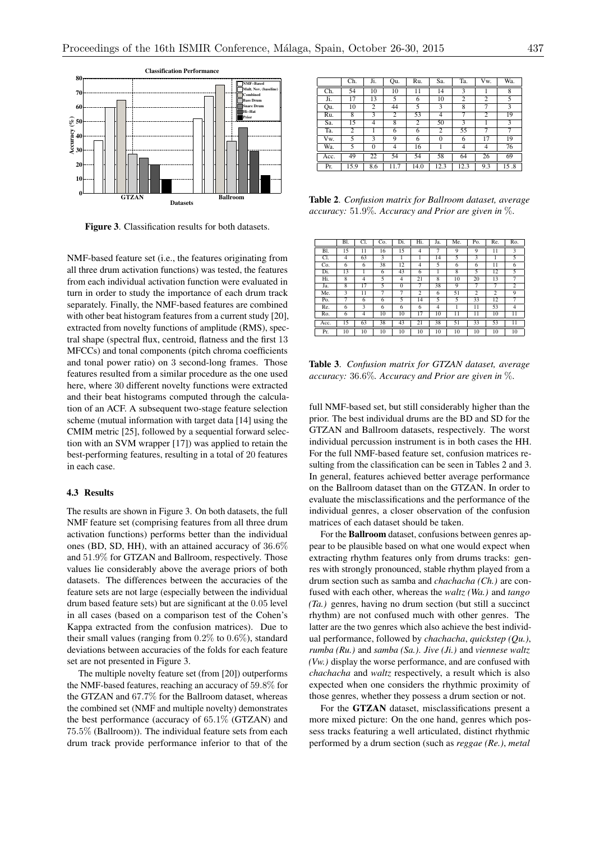

Figure 3. Classification results for both datasets.

NMF-based feature set (i.e., the features originating from all three drum activation functions) was tested, the features from each individual activation function were evaluated in turn in order to study the importance of each drum track separately. Finally, the NMF-based features are combined with other beat histogram features from a current study [20], extracted from novelty functions of amplitude (RMS), spectral shape (spectral flux, centroid, flatness and the first 13 MFCCs) and tonal components (pitch chroma coefficients and tonal power ratio) on 3 second-long frames. Those features resulted from a similar procedure as the one used here, where 30 different novelty functions were extracted and their beat histograms computed through the calculation of an ACF. A subsequent two-stage feature selection scheme (mutual information with target data [14] using the CMIM metric [25], followed by a sequential forward selection with an SVM wrapper [17]) was applied to retain the best-performing features, resulting in a total of 20 features in each case.

### 4.3 Results

The results are shown in Figure 3. On both datasets, the full NMF feature set (comprising features from all three drum activation functions) performs better than the individual ones (BD, SD, HH), with an attained accuracy of 36*.*6% and 51*.*9% for GTZAN and Ballroom, respectively. Those values lie considerably above the average priors of both datasets. The differences between the accuracies of the feature sets are not large (especially between the individual drum based feature sets) but are significant at the 0*.*05 level in all cases (based on a comparison test of the Cohen's Kappa extracted from the confusion matrices). Due to their small values (ranging from 0*.*2% to 0*.*6%), standard deviations between accuracies of the folds for each feature set are not presented in Figure 3.

The multiple novelty feature set (from [20]) outperforms the NMF-based features, reaching an accuracy of 59*.*8% for the GTZAN and 67*.*7% for the Ballroom dataset, whereas the combined set (NMF and multiple novelty) demonstrates the best performance (accuracy of 65*.*1% (GTZAN) and 75*.*5% (Ballroom)). The individual feature sets from each drum track provide performance inferior to that of the

|      | Ch.            | Ji.      | Qu.            | Ru.  | Sa.          | Ta.            | Vw.            | Wa.  |
|------|----------------|----------|----------------|------|--------------|----------------|----------------|------|
| Ch.  | 54             | 10       | 10             | 11   | 14           | 3              |                | 8    |
| Ji.  | 17             | 13       | 5              | 6    | 10           | $\overline{2}$ | 2              | 5    |
| Qu.  | 10             | 2        | 44             | 5    | 3            | 8              | 7              | 3    |
| Ru.  | $\overline{8}$ | 3        | $\overline{2}$ | 53   | 4            | 7              | $\overline{2}$ | 19   |
| Sa.  | 15             | 4        | 8              | 2    | 50           | 3              |                | 3    |
| Ta.  | 2              | 1        | 6              | 6    | 2            | 55             | 7              | 7    |
| Vw.  | 5              | 3        | 9              | 6    | $\mathbf{0}$ | 6              | 17             | 19   |
| Wa.  | 5              | $\Omega$ | 4              | 16   |              | 4              | $\overline{4}$ | 76   |
| Acc. | 49             | 22       | 54             | 54   | 58           | 64             | 26             | 69   |
| Pr.  | 15.9           | 8.6      | 11.7           | 14.0 | 12.3         | 12.3           | 9.3            | 15.8 |

Table 2. *Confusion matrix for Ballroom dataset, average accuracy:* 51*.*9%*. Accuracy and Prior are given in* %.

|      | Bl. | Cl. | Co. | Di.            | Hi.            | Ja. | Me. | Po.            | Re. | Ro.            |
|------|-----|-----|-----|----------------|----------------|-----|-----|----------------|-----|----------------|
| Bl.  | 15  | 11  | 16  | 15             | 4              | 7   | 9   | 9              | 11  | 3              |
| Cl.  | 4   | 63  | 3   | 1              | 1              | 14  | 5   | 3              | 1   | 5              |
| Co.  | 6   | 6   | 38  | 12             | $\overline{4}$ | 5   | 6   | 6              | 11  | 6              |
| Di.  | 13  |     | 6   | 43             | 6              |     | 8   | 5              | 12  | 5              |
| Hi.  | 8   | 4   | 5   | $\overline{4}$ | 21             | 8   | 10  | 20             | 13  | $\overline{7}$ |
| Ja.  | 8   | 17  | 5   | $\Omega$       | 7              | 38  | 9   | $\overline{7}$ | 7   | $\overline{c}$ |
| Me.  | 3   | 11  | 7   | 7              | 2              | 6   | 51  | 2              | 2   | 9              |
| Po.  | 7   | 6   | 6   | 5              | 14             | 5   | 5   | 33             | 12  | $\overline{7}$ |
| Re.  | 6   | 3   | 6   | 6              | 6              | 4   |     | 11             | 53  | $\overline{4}$ |
| Ro.  | 6   | 4   | 10  | 10             | 17             | 10  | 11  | 11             | 10  | 11             |
| Acc. | 15  | 63  | 38  | 43             | 21             | 38  | 51  | 33             | 53  | 11             |
| Pr.  | 10  | 10  | 10  | 10             | 10             | 10  | 10  | 10             | 10  | 10             |

Table 3. *Confusion matrix for GTZAN dataset, average accuracy:* 36*.*6%*. Accuracy and Prior are given in* %.

full NMF-based set, but still considerably higher than the prior. The best individual drums are the BD and SD for the GTZAN and Ballroom datasets, respectively. The worst individual percussion instrument is in both cases the HH. For the full NMF-based feature set, confusion matrices resulting from the classification can be seen in Tables 2 and 3. In general, features achieved better average performance on the Ballroom dataset than on the GTZAN. In order to evaluate the misclassifications and the performance of the individual genres, a closer observation of the confusion matrices of each dataset should be taken.

For the Ballroom dataset, confusions between genres appear to be plausible based on what one would expect when extracting rhythm features only from drums tracks: genres with strongly pronounced, stable rhythm played from a drum section such as samba and *chachacha (Ch.)* are confused with each other, whereas the *waltz (Wa.)* and *tango (Ta.)* genres, having no drum section (but still a succinct rhythm) are not confused much with other genres. The latter are the two genres which also achieve the best individual performance, followed by *chachacha*, *quickstep (Qu.)*, *rumba (Ru.)* and *samba (Sa.)*. *Jive (Ji.)* and *viennese waltz (Vw.)* display the worse performance, and are confused with *chachacha* and *waltz* respectively, a result which is also expected when one considers the rhythmic proximity of those genres, whether they possess a drum section or not.

For the GTZAN dataset, misclassifications present a more mixed picture: On the one hand, genres which possess tracks featuring a well articulated, distinct rhythmic performed by a drum section (such as *reggae (Re.)*, *metal*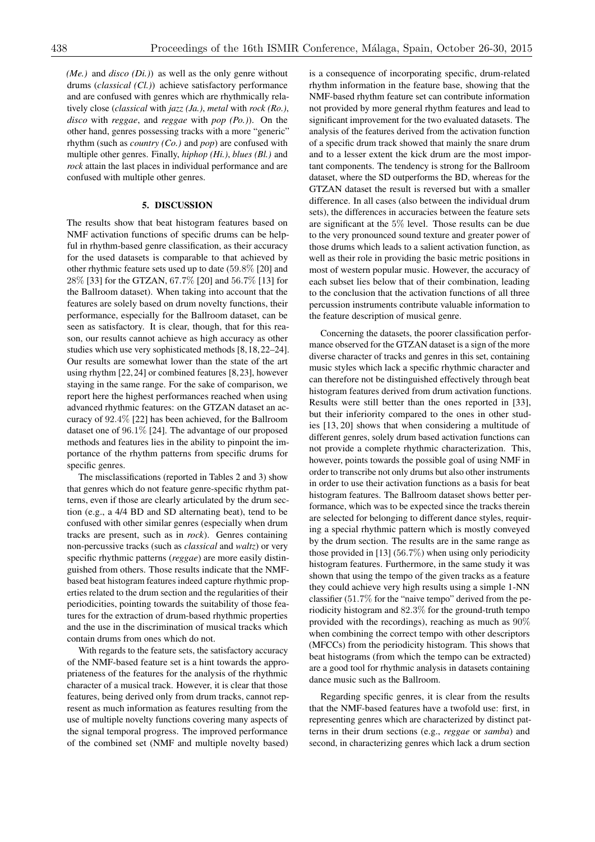*(Me.)* and *disco (Di.)*) as well as the only genre without drums (*classical (Cl.)*) achieve satisfactory performance and are confused with genres which are rhythmically relatively close (*classical* with *jazz (Ja.)*, *metal* with *rock (Ro.)*, *disco* with *reggae*, and *reggae* with *pop (Po.)*). On the other hand, genres possessing tracks with a more "generic" rhythm (such as *country (Co.)* and *pop*) are confused with multiple other genres. Finally, *hiphop (Hi.)*, *blues (Bl.)* and *rock* attain the last places in individual performance and are confused with multiple other genres.

# 5. DISCUSSION

The results show that beat histogram features based on NMF activation functions of specific drums can be helpful in rhythm-based genre classification, as their accuracy for the used datasets is comparable to that achieved by other rhythmic feature sets used up to date (59*.*8% [20] and 28% [33] for the GTZAN, 67*.*7% [20] and 56*.*7% [13] for the Ballroom dataset). When taking into account that the features are solely based on drum novelty functions, their performance, especially for the Ballroom dataset, can be seen as satisfactory. It is clear, though, that for this reason, our results cannot achieve as high accuracy as other studies which use very sophisticated methods [8, 18, 22–24]. Our results are somewhat lower than the state of the art using rhythm [22, 24] or combined features [8, 23], however staying in the same range. For the sake of comparison, we report here the highest performances reached when using advanced rhythmic features: on the GTZAN dataset an accuracy of 92*.*4% [22] has been achieved, for the Ballroom dataset one of 96*.*1% [24]. The advantage of our proposed methods and features lies in the ability to pinpoint the importance of the rhythm patterns from specific drums for specific genres.

The misclassifications (reported in Tables 2 and 3) show that genres which do not feature genre-specific rhythm patterns, even if those are clearly articulated by the drum section (e.g., a 4/4 BD and SD alternating beat), tend to be confused with other similar genres (especially when drum tracks are present, such as in *rock*). Genres containing non-percussive tracks (such as *classical* and *waltz*) or very specific rhythmic patterns (*reggae*) are more easily distinguished from others. Those results indicate that the NMFbased beat histogram features indeed capture rhythmic properties related to the drum section and the regularities of their periodicities, pointing towards the suitability of those features for the extraction of drum-based rhythmic properties and the use in the discrimination of musical tracks which contain drums from ones which do not.

With regards to the feature sets, the satisfactory accuracy of the NMF-based feature set is a hint towards the appropriateness of the features for the analysis of the rhythmic character of a musical track. However, it is clear that those features, being derived only from drum tracks, cannot represent as much information as features resulting from the use of multiple novelty functions covering many aspects of the signal temporal progress. The improved performance of the combined set (NMF and multiple novelty based)

is a consequence of incorporating specific, drum-related rhythm information in the feature base, showing that the NMF-based rhythm feature set can contribute information not provided by more general rhythm features and lead to significant improvement for the two evaluated datasets. The analysis of the features derived from the activation function of a specific drum track showed that mainly the snare drum and to a lesser extent the kick drum are the most important components. The tendency is strong for the Ballroom dataset, where the SD outperforms the BD, whereas for the GTZAN dataset the result is reversed but with a smaller difference. In all cases (also between the individual drum sets), the differences in accuracies between the feature sets are significant at the 5% level. Those results can be due to the very pronounced sound texture and greater power of those drums which leads to a salient activation function, as well as their role in providing the basic metric positions in most of western popular music. However, the accuracy of each subset lies below that of their combination, leading to the conclusion that the activation functions of all three percussion instruments contribute valuable information to the feature description of musical genre.

Concerning the datasets, the poorer classification performance observed for the GTZAN dataset is a sign of the more diverse character of tracks and genres in this set, containing music styles which lack a specific rhythmic character and can therefore not be distinguished effectively through beat histogram features derived from drum activation functions. Results were still better than the ones reported in [33], but their inferiority compared to the ones in other studies [13, 20] shows that when considering a multitude of different genres, solely drum based activation functions can not provide a complete rhythmic characterization. This, however, points towards the possible goal of using NMF in order to transcribe not only drums but also other instruments in order to use their activation functions as a basis for beat histogram features. The Ballroom dataset shows better performance, which was to be expected since the tracks therein are selected for belonging to different dance styles, requiring a special rhythmic pattern which is mostly conveyed by the drum section. The results are in the same range as those provided in [13] (56*.*7%) when using only periodicity histogram features. Furthermore, in the same study it was shown that using the tempo of the given tracks as a feature they could achieve very high results using a simple 1-NN classifier (51*.*7% for the "naive tempo" derived from the periodicity histogram and 82*.*3% for the ground-truth tempo provided with the recordings), reaching as much as 90% when combining the correct tempo with other descriptors (MFCCs) from the periodicity histogram. This shows that beat histograms (from which the tempo can be extracted) are a good tool for rhythmic analysis in datasets containing dance music such as the Ballroom.

Regarding specific genres, it is clear from the results that the NMF-based features have a twofold use: first, in representing genres which are characterized by distinct patterns in their drum sections (e.g., *reggae* or *samba*) and second, in characterizing genres which lack a drum section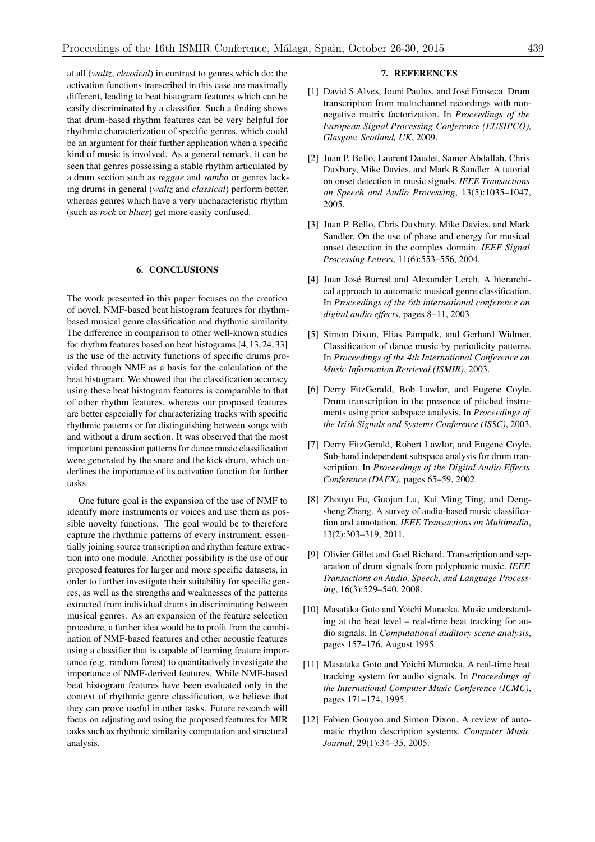at all (*waltz*, *classical*) in contrast to genres which do; the activation functions transcribed in this case are maximally different, leading to beat histogram features which can be easily discriminated by a classifier. Such a finding shows that drum-based rhythm features can be very helpful for rhythmic characterization of specific genres, which could be an argument for their further application when a specific kind of music is involved. As a general remark, it can be seen that genres possessing a stable rhythm articulated by a drum section such as *reggae* and *samba* or genres lacking drums in general (*waltz* and *classical*) perform better, whereas genres which have a very uncharacteristic rhythm (such as *rock* or *blues*) get more easily confused.

# 6. CONCLUSIONS

The work presented in this paper focuses on the creation of novel, NMF-based beat histogram features for rhythmbased musical genre classification and rhythmic similarity. The difference in comparison to other well-known studies for rhythm features based on beat histograms [4, 13, 24, 33] is the use of the activity functions of specific drums provided through NMF as a basis for the calculation of the beat histogram. We showed that the classification accuracy using these beat histogram features is comparable to that of other rhythm features, whereas our proposed features are better especially for characterizing tracks with specific rhythmic patterns or for distinguishing between songs with and without a drum section. It was observed that the most important percussion patterns for dance music classification were generated by the snare and the kick drum, which underlines the importance of its activation function for further tasks.

One future goal is the expansion of the use of NMF to identify more instruments or voices and use them as possible novelty functions. The goal would be to therefore capture the rhythmic patterns of every instrument, essentially joining source transcription and rhythm feature extraction into one module. Another possibility is the use of our proposed features for larger and more specific datasets, in order to further investigate their suitability for specific genres, as well as the strengths and weaknesses of the patterns extracted from individual drums in discriminating between musical genres. As an expansion of the feature selection procedure, a further idea would be to profit from the combination of NMF-based features and other acoustic features using a classifier that is capable of learning feature importance (e.g. random forest) to quantitatively investigate the importance of NMF-derived features. While NMF-based beat histogram features have been evaluated only in the context of rhythmic genre classification, we believe that they can prove useful in other tasks. Future research will focus on adjusting and using the proposed features for MIR tasks such as rhythmic similarity computation and structural analysis.

# 7. REFERENCES

- [1] David S Alves, Jouni Paulus, and José Fonseca. Drum transcription from multichannel recordings with nonnegative matrix factorization. In *Proceedings of the European Signal Processing Conference (EUSIPCO), Glasgow, Scotland, UK*, 2009.
- [2] Juan P. Bello, Laurent Daudet, Samer Abdallah, Chris Duxbury, Mike Davies, and Mark B Sandler. A tutorial on onset detection in music signals. *IEEE Transactions on Speech and Audio Processing*, 13(5):1035–1047, 2005.
- [3] Juan P. Bello, Chris Duxbury, Mike Davies, and Mark Sandler. On the use of phase and energy for musical onset detection in the complex domain. *IEEE Signal Processing Letters*, 11(6):553–556, 2004.
- [4] Juan José Burred and Alexander Lerch. A hierarchical approach to automatic musical genre classification. In *Proceedings of the 6th international conference on digital audio effects*, pages 8–11, 2003.
- [5] Simon Dixon, Elias Pampalk, and Gerhard Widmer. Classification of dance music by periodicity patterns. In *Proceedings of the 4th International Conference on Music Information Retrieval (ISMIR)*, 2003.
- [6] Derry FitzGerald, Bob Lawlor, and Eugene Coyle. Drum transcription in the presence of pitched instruments using prior subspace analysis. In *Proceedings of the Irish Signals and Systems Conference (ISSC)*, 2003.
- [7] Derry FitzGerald, Robert Lawlor, and Eugene Coyle. Sub-band independent subspace analysis for drum transcription. In *Proceedings of the Digital Audio Effects Conference (DAFX)*, pages 65–59, 2002.
- [8] Zhouyu Fu, Guojun Lu, Kai Ming Ting, and Dengsheng Zhang. A survey of audio-based music classification and annotation. *IEEE Transactions on Multimedia*, 13(2):303–319, 2011.
- [9] Olivier Gillet and Gaël Richard. Transcription and separation of drum signals from polyphonic music. *IEEE Transactions on Audio, Speech, and Language Processing*, 16(3):529–540, 2008.
- [10] Masataka Goto and Yoichi Muraoka. Music understanding at the beat level – real-time beat tracking for audio signals. In *Computational auditory scene analysis*, pages 157–176, August 1995.
- [11] Masataka Goto and Yoichi Muraoka. A real-time beat tracking system for audio signals. In *Proceedings of the International Computer Music Conference (ICMC)*, pages 171–174, 1995.
- [12] Fabien Gouyon and Simon Dixon. A review of automatic rhythm description systems. *Computer Music Journal*, 29(1):34–35, 2005.